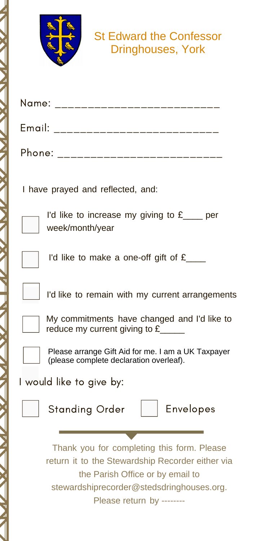